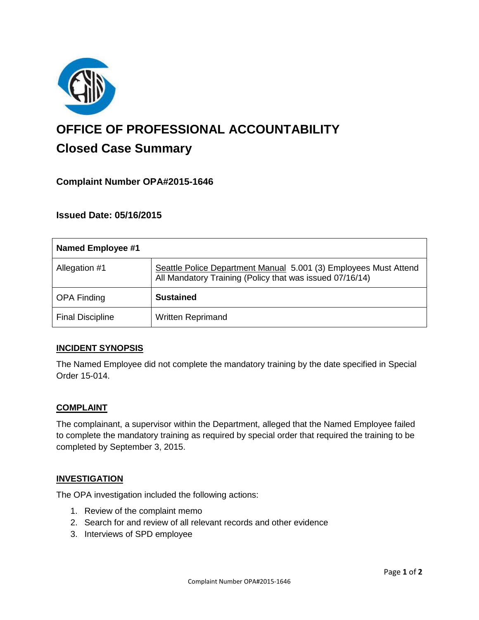

# **OFFICE OF PROFESSIONAL ACCOUNTABILITY Closed Case Summary**

# **Complaint Number OPA#2015-1646**

## **Issued Date: 05/16/2015**

| <b>Named Employee #1</b> |                                                                                                                              |
|--------------------------|------------------------------------------------------------------------------------------------------------------------------|
| Allegation #1            | Seattle Police Department Manual 5.001 (3) Employees Must Attend<br>All Mandatory Training (Policy that was issued 07/16/14) |
| <b>OPA Finding</b>       | <b>Sustained</b>                                                                                                             |
| <b>Final Discipline</b>  | <b>Written Reprimand</b>                                                                                                     |

## **INCIDENT SYNOPSIS**

The Named Employee did not complete the mandatory training by the date specified in Special Order 15-014.

#### **COMPLAINT**

The complainant, a supervisor within the Department, alleged that the Named Employee failed to complete the mandatory training as required by special order that required the training to be completed by September 3, 2015.

#### **INVESTIGATION**

The OPA investigation included the following actions:

- 1. Review of the complaint memo
- 2. Search for and review of all relevant records and other evidence
- 3. Interviews of SPD employee